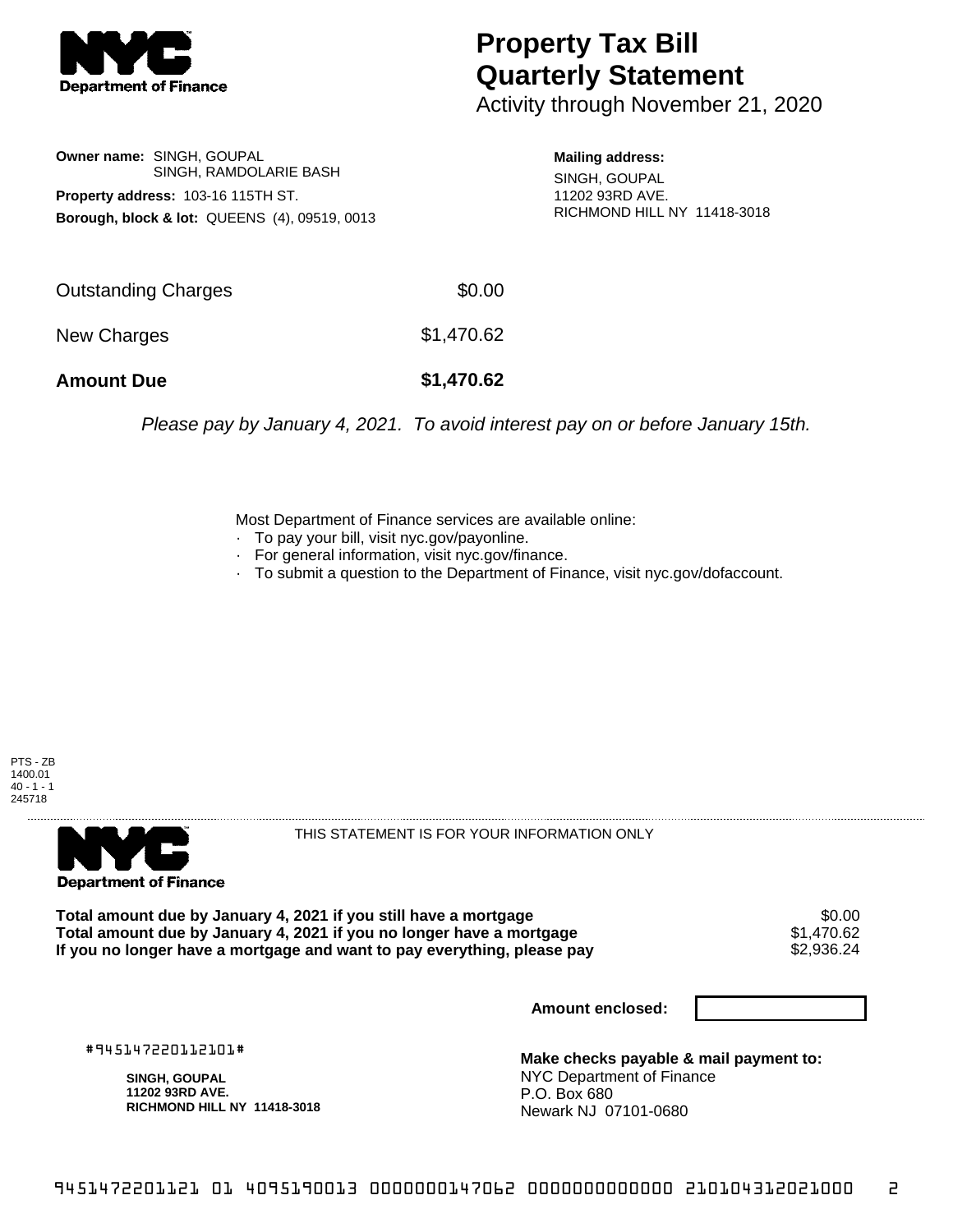

## **Property Tax Bill Quarterly Statement**

Activity through November 21, 2020

**Owner name:** SINGH, GOUPAL SINGH, RAMDOLARIE BASH **Property address:** 103-16 115TH ST. **Borough, block & lot:** QUEENS (4), 09519, 0013

**Mailing address:** SINGH, GOUPAL 11202 93RD AVE. RICHMOND HILL NY 11418-3018

| <b>Amount Due</b>          | \$1,470.62 |
|----------------------------|------------|
| New Charges                | \$1,470.62 |
| <b>Outstanding Charges</b> | \$0.00     |

Please pay by January 4, 2021. To avoid interest pay on or before January 15th.

Most Department of Finance services are available online:

- · To pay your bill, visit nyc.gov/payonline.
- For general information, visit nyc.gov/finance.
- · To submit a question to the Department of Finance, visit nyc.gov/dofaccount.





THIS STATEMENT IS FOR YOUR INFORMATION ONLY

Total amount due by January 4, 2021 if you still have a mortgage **\$0.00** \$0.00<br>Total amount due by January 4, 2021 if you no longer have a mortgage **\$1.470.62 Total amount due by January 4, 2021 if you no longer have a mortgage**  $$1,470.62$$ **<br>If you no longer have a mortgage and want to pay everything, please pay**  $$2,936.24$$ If you no longer have a mortgage and want to pay everything, please pay

**Amount enclosed:**

#945147220112101#

**SINGH, GOUPAL 11202 93RD AVE. RICHMOND HILL NY 11418-3018**

**Make checks payable & mail payment to:** NYC Department of Finance P.O. Box 680 Newark NJ 07101-0680